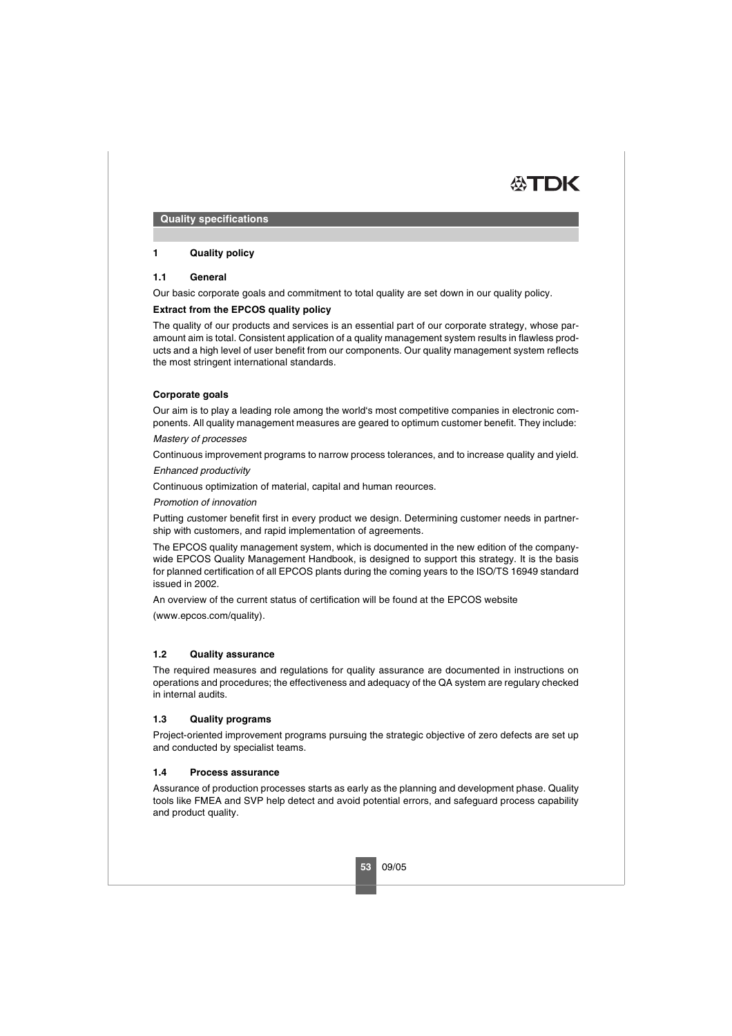

**Quality specifications**

# **1 Quality policy**

## **1.1 General**

Our basic corporate goals and commitment to total quality are set down in our quality policy.

# **Extract from the EPCOS quality policy**

The quality of our products and services is an essential part of our corporate strategy, whose paramount aim is total. Consistent application of a quality management system results in flawless products and a high level of user benefit from our components. Our quality management system reflects the most stringent international standards.

# **Corporate goals**

Our aim is to play a leading role among the world's most competitive companies in electronic components. All quality management measures are geared to optimum customer benefit. They include:

### Mastery of processes

Continuous improvement programs to narrow process tolerances, and to increase quality and yield.

#### Enhanced productivity

Continuous optimization of material, capital and human reources.

#### Promotion of innovation

Putting customer benefit first in every product we design. Determining customer needs in partnership with customers, and rapid implementation of agreements.

The EPCOS quality management system, which is documented in the new edition of the companywide EPCOS Quality Management Handbook, is designed to support this strategy. It is the basis for planned certification of all EPCOS plants during the coming years to the ISO/TS 16949 standard issued in 2002.

An overview of the current status of certification will be found at the EPCOS website

(www.epcos.com/quality).

### **1.2 Quality assurance**

The required measures and regulations for quality assurance are documented in instructions on operations and procedures; the effectiveness and adequacy of the QA system are regulary checked in internal audits.

### **1.3 Quality programs**

Project-oriented improvement programs pursuing the strategic objective of zero defects are set up and conducted by specialist teams.

### **1.4 Process assurance**

Assurance of production processes starts as early as the planning and development phase. Quality tools like FMEA and SVP help detect and avoid potential errors, and safeguard process capability and product quality.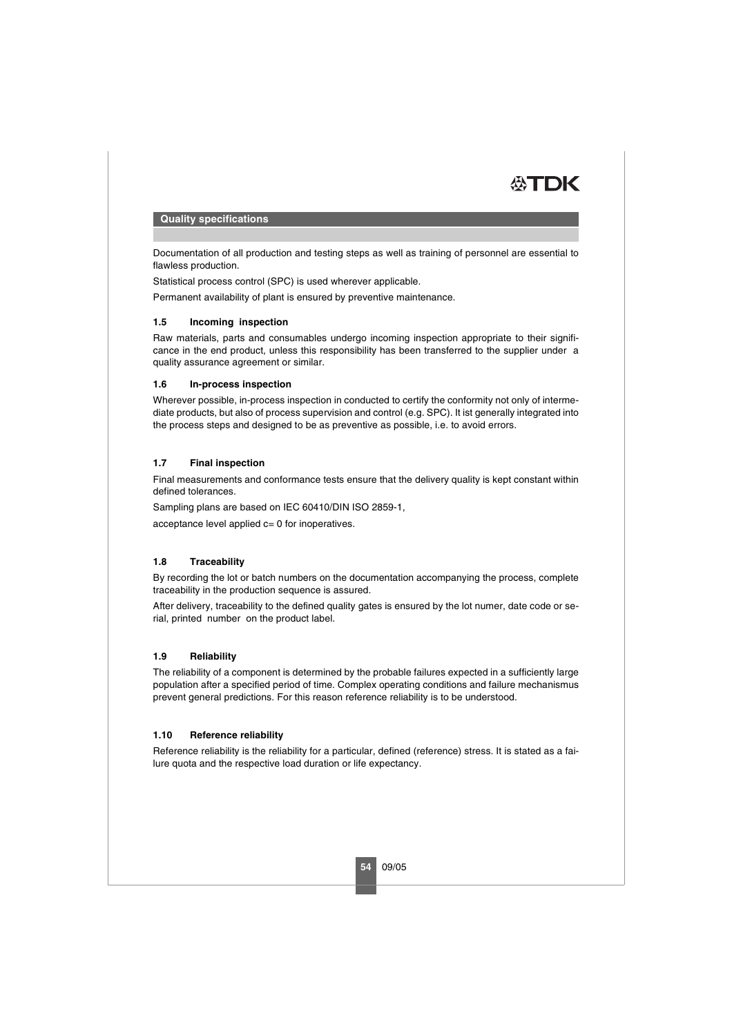

#### **Quality specifications**

Documentation of all production and testing steps as well as training of personnel are essential to flawless production.

Statistical process control (SPC) is used wherever applicable.

Permanent availability of plant is ensured by preventive maintenance.

# **1.5 Incoming inspection**

Raw materials, parts and consumables undergo incoming inspection appropriate to their significance in the end product, unless this responsibility has been transferred to the supplier under a quality assurance agreement or similar.

### **1.6 In-process inspection**

Wherever possible, in-process inspection in conducted to certify the conformity not only of intermediate products, but also of process supervision and control (e.g. SPC). It ist generally integrated into the process steps and designed to be as preventive as possible, i.e. to avoid errors.

# **1.7 Final inspection**

Final measurements and conformance tests ensure that the delivery quality is kept constant within defined tolerances.

Sampling plans are based on IEC 60410/DIN ISO 2859-1.

acceptance level applied c= 0 for inoperatives.

### **1.8 Traceability**

By recording the lot or batch numbers on the documentation accompanying the process, complete traceability in the production sequence is assured.

After delivery, traceability to the defined quality gates is ensured by the lot numer, date code or serial, printed number on the product label.

## **1.9 Reliability**

The reliability of a component is determined by the probable failures expected in a sufficiently large population after a specified period of time. Complex operating conditions and failure mechanismus prevent general predictions. For this reason reference reliability is to be understood.

### **1.10 Reference reliability**

Reference reliability is the reliability for a particular, defined (reference) stress. It is stated as a failure quota and the respective load duration or life expectancy.

**54** 09/05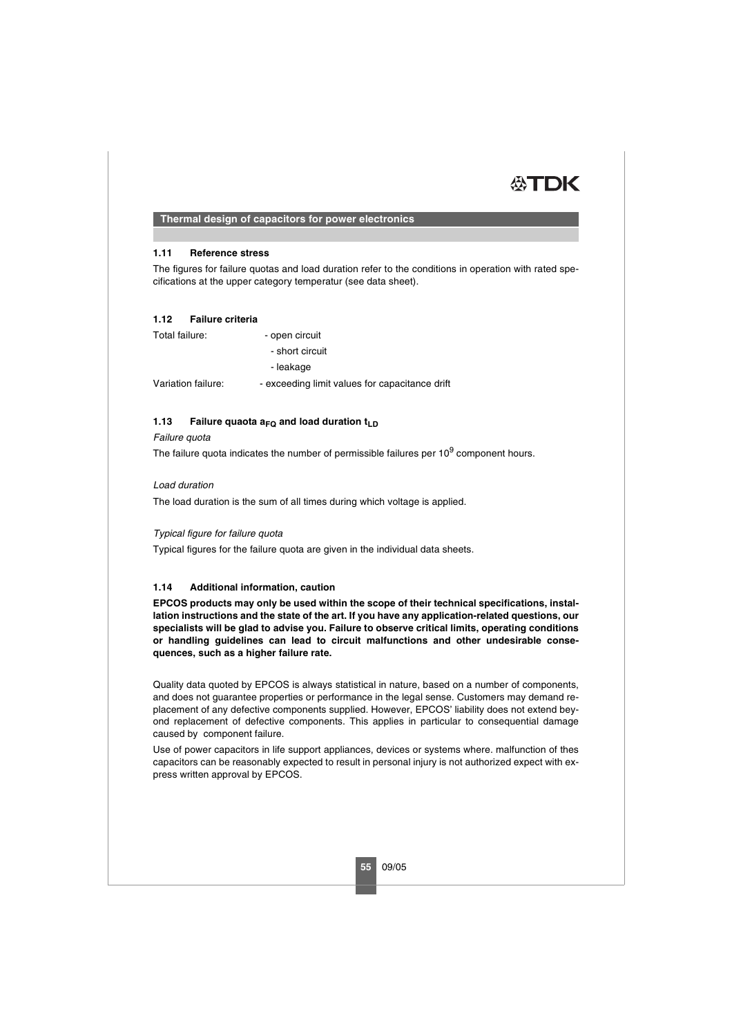

## **Thermal design of capacitors for power electronics**

### **1.11 Reference stress**

The figures for failure quotas and load duration refer to the conditions in operation with rated specifications at the upper category temperatur (see data sheet).

#### **1.12 Failure criteria**

| Total failure:     | - open circuit                                 |
|--------------------|------------------------------------------------|
|                    | - short circuit                                |
|                    | - leakage                                      |
| Variation failure: | - exceeding limit values for capacitance drift |

# **1.13** Failure quaota  $a_{FQ}$  and load duration  $t_{LD}$

### Failure quota

The failure quota indicates the number of permissible failures per  $10<sup>9</sup>$  component hours.

### Load duration

The load duration is the sum of all times during which voltage is applied.

### Typical figure for failure quota

Typical figures for the failure quota are given in the individual data sheets.

# **1.14 Additional information, caution**

**EPCOS products may only be used within the scope of their technical specifications, installation instructions and the state of the art. If you have any application-related questions, our specialists will be glad to advise you. Failure to observe critical limits, operating conditions or handling guidelines can lead to circuit malfunctions and other undesirable consequences, such as a higher failure rate.** 

Quality data quoted by EPCOS is always statistical in nature, based on a number of components, and does not guarantee properties or performance in the legal sense. Customers may demand replacement of any defective components supplied. However, EPCOS' liability does not extend beyond replacement of defective components. This applies in particular to consequential damage caused by component failure.

Use of power capacitors in life support appliances, devices or systems where. malfunction of thes capacitors can be reasonably expected to result in personal injury is not authorized expect with express written approval by EPCOS.